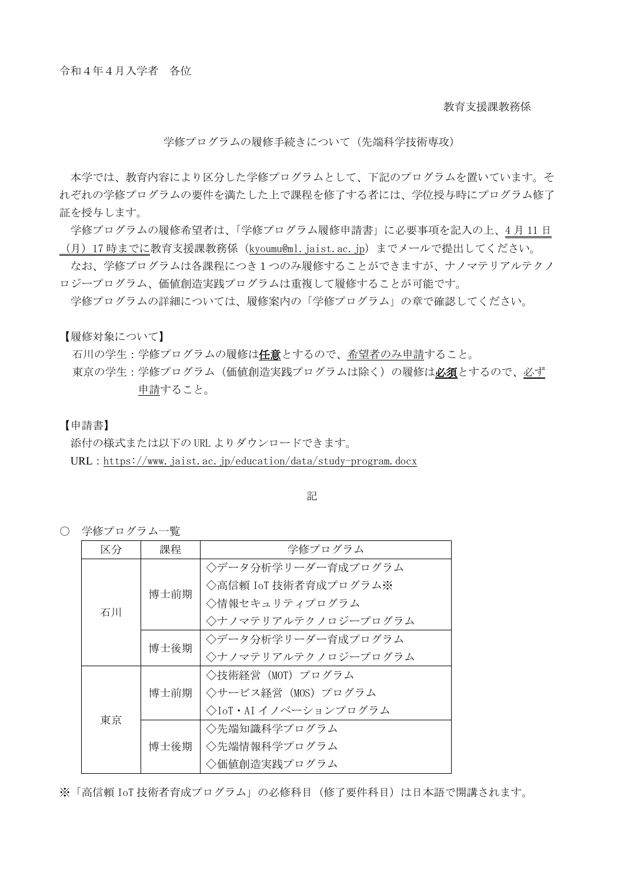教育支援課教務係

#### 学修プログラムの履修手続きについて(先端科学技術専攻)

本学では、教育内容により区分した学修プログラムとして、下記のプログラムを置いています。そ れぞれの学修プログラムの要件を満たした上で課程を修了する者には、学位授与時にプログラム修了 証を授与します。

学修プログラムの履修希望者は、「学修プログラム履修申請書」に必要事項を記入の上、4 月 11 日 (月) 17 時までに教育支援課教務係 ([kyoumu@ml.jaist.ac.jp](mailto:kyoumu@ml.jaist.ac.jp)) までメールで提出してください。

なお、学修プログラムは各課程につき1つのみ履修することができますが、ナノマテリアルテクノ ロジープログラム、価値創造実践プログラムは重複して履修することが可能です。

学修プログラムの詳細については、履修案内の「学修プログラム」の章で確認してください。

【履修対象について】

石川の学生:学修プログラムの履修は任意とするので、希望者のみ申請すること。

東京の学生:学修プログラム(価値創造実践プログラムは除く)の履修は必須とするので、必ず 申請すること。

#### 【申請書】

添付の様式または以下の URL よりダウンロードできます。

URL: https://www.jaist.ac.jp/education/data/study-program.docx

記

○ 学修プログラム一覧

| 区分 | 課程   | 学修プログラム              |
|----|------|----------------------|
| 石川 | 博士前期 | ◇データ分析学リーダー育成プログラム   |
|    |      | ◇高信頼 IoT 技術者育成プログラム※ |
|    |      | ◇情報セキュリティプログラム       |
|    |      | ◇ナノマテリアルテクノロジープログラム  |
|    | 博士後期 | ◇データ分析学リーダー育成プログラム   |
|    |      | ◇ナノマテリアルテクノロジープログラム  |
| 東京 | 博士前期 | ◇技術経営(MOT)プログラム      |
|    |      | ◇サービス経営(MOS)プログラム    |
|    |      | ◇IoT・AI イノベーションプログラム |
|    | 博士後期 | ◇先端知識科学プログラム         |
|    |      | ◇先端情報科学プログラム         |
|    |      | ◇価値創造実践プログラム         |

※「高信頼 IoT 技術者育成プログラム」の必修科目(修了要件科目)は日本語で開講されます。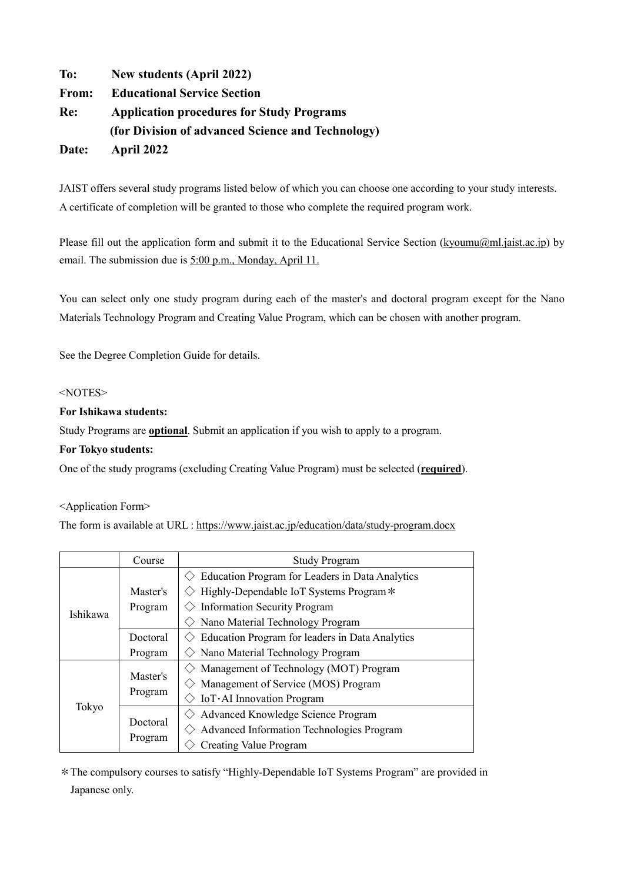**To: New students (April 2022) From: Educational Service Section Re: Application procedures for Study Programs (for Division of advanced Science and Technology) Date: April 2022**

JAIST offers several study programs listed below of which you can choose one according to your study interests. A certificate of completion will be granted to those who complete the required program work.

Please fill out the application form and submit it to the Educational Service Section (kyoumu@ml.jaist.ac.jp) by email. The submission due is  $5:00$  p.m., Monday, April 11.

You can select only one study program during each of the master's and doctoral program except for the Nano Materials Technology Program and Creating Value Program, which can be chosen with another program.

See the Degree Completion Guide for details.

## <NOTES>

### **For Ishikawa students:**

Study Programs are **optional**. Submit an application if you wish to apply to a program.

#### **For Tokyo students:**

One of the study programs (excluding Creating Value Program) must be selected (**required**).

#### <Application Form>

The form is available at URL : https://www.jaist.ac.jp/education/data/study-program.docx

|          | Course              | <b>Study Program</b>                             |
|----------|---------------------|--------------------------------------------------|
| Ishikawa |                     | Education Program for Leaders in Data Analytics  |
|          | Master's            | Highly-Dependable IoT Systems Program *          |
|          | Program             | <b>Information Security Program</b>              |
|          |                     | Nano Material Technology Program                 |
|          | Doctoral            | Education Program for leaders in Data Analytics  |
|          | Program             | Nano Material Technology Program                 |
| Tokyo    | Master's<br>Program | Management of Technology (MOT) Program           |
|          |                     | Management of Service (MOS) Program              |
|          |                     | IoT·AI Innovation Program                        |
|          | Doctoral<br>Program | Advanced Knowledge Science Program               |
|          |                     | <b>Advanced Information Technologies Program</b> |
|          |                     | Creating Value Program                           |

\*The compulsory courses to satisfy "Highly-Dependable IoT Systems Program" are provided in Japanese only.